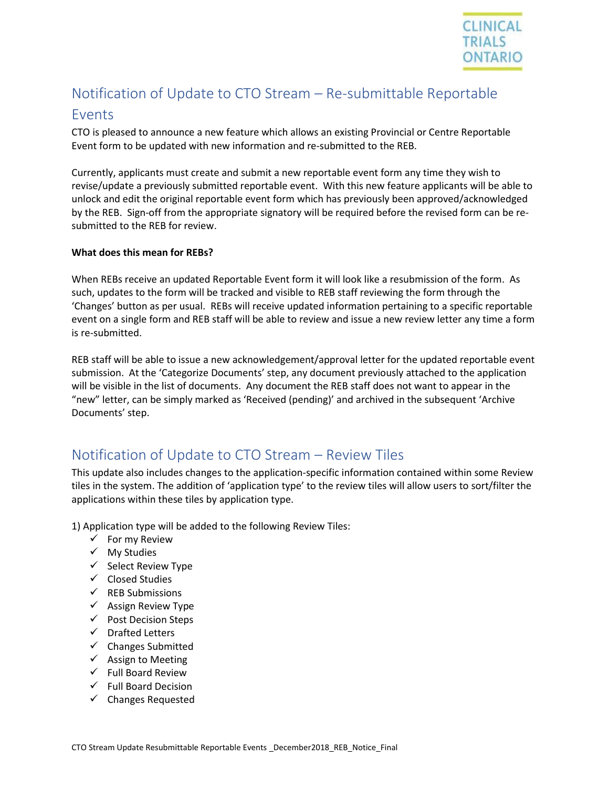

# Notification of Update to CTO Stream – Re-submittable Reportable

### Events

CTO is pleased to announce a new feature which allows an existing Provincial or Centre Reportable Event form to be updated with new information and re-submitted to the REB.

Currently, applicants must create and submit a new reportable event form any time they wish to revise/update a previously submitted reportable event. With this new feature applicants will be able to unlock and edit the original reportable event form which has previously been approved/acknowledged by the REB. Sign-off from the appropriate signatory will be required before the revised form can be resubmitted to the REB for review.

#### **What does this mean for REBs?**

When REBs receive an updated Reportable Event form it will look like a resubmission of the form. As such, updates to the form will be tracked and visible to REB staff reviewing the form through the 'Changes' button as per usual. REBs will receive updated information pertaining to a specific reportable event on a single form and REB staff will be able to review and issue a new review letter any time a form is re-submitted.

REB staff will be able to issue a new acknowledgement/approval letter for the updated reportable event submission. At the 'Categorize Documents' step, any document previously attached to the application will be visible in the list of documents. Any document the REB staff does not want to appear in the "new" letter, can be simply marked as 'Received (pending)' and archived in the subsequent 'Archive Documents' step.

## Notification of Update to CTO Stream – Review Tiles

This update also includes changes to the application-specific information contained within some Review tiles in the system. The addition of 'application type' to the review tiles will allow users to sort/filter the applications within these tiles by application type.

1) Application type will be added to the following Review Tiles:

- $\checkmark$  For my Review
- ✓ My Studies
- ✓ Select Review Type
- ✓ Closed Studies
- ✓ REB Submissions
- ✓ Assign Review Type
- ✓ Post Decision Steps
- ✓ Drafted Letters
- ✓ Changes Submitted
- $\checkmark$  Assign to Meeting
- $\checkmark$  Full Board Review
- $\checkmark$  Full Board Decision
- ✓ Changes Requested